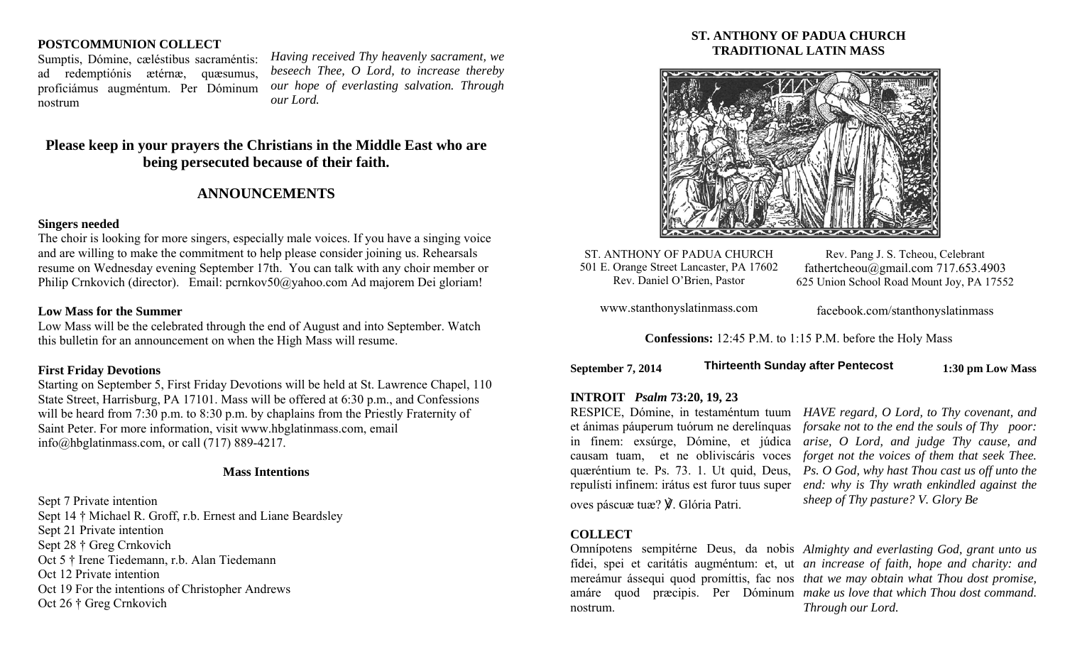# **POSTCOMMUNION COLLECT**

Sumptis, Dómine, cæléstibus sacraméntis: ad redemptiónis ætérnæ, quæsumus, proficiámus augméntum. Per Dóminum nostrum

*Having received Thy heavenly sacrament, we beseech Thee, O Lord, to increase thereby our hope of everlasting salvation. Through our Lord.* 

# **Please keep in your prayers the Christians in the Middle East who are being persecuted because of their faith.**

# **ANNOUNCEMENTS**

## **Singers needed**

The choir is looking for more singers, especially male voices. If you have a singing voice and are willing to make the commitment to help please consider joining us. Rehearsals resume on Wednesday evening September 17th. You can talk with any choir member or Philip Crnkovich (director). Email: pcrnkov50@yahoo.com Ad majorem Dei gloriam!

#### **Low Mass for the Summer**

Low Mass will be the celebrated through the end of August and into September. Watch this bulletin for an announcement on when the High Mass will resume.

## **First Friday Devotions**

Starting on September 5, First Friday Devotions will be held at St. Lawrence Chapel, 110 State Street, Harrisburg, PA 17101. Mass will be offered at 6:30 p.m., and Confessions will be heard from 7:30 p.m. to 8:30 p.m. by chaplains from the Priestly Fraternity of Saint Peter. For more information, visit www.hbglatinmass.com, email info@hbglatinmass.com, or call (717) 889-4217.

## **Mass Intentions**

Sept 7 Private intention Sept 14 † Michael R. Groff, r.b. Ernest and Liane Beardsley Sept 21 Private intention Sept 28 † Greg Crnkovich Oct 5 † Irene Tiedemann, r.b. Alan Tiedemann Oct 12 Private intention Oct 19 For the intentions of Christopher Andrews Oct 26 † Greg Crnkovich

# **ST. ANTHONY OF PADUA CHURCH TRADITIONAL LATIN MASS**



ST. ANTHONY OF PADUA CHURCH 501 E. Orange Street Lancaster, PA 17602 Rev. Daniel O'Brien, Pastor

Rev. Pang J. S. Tcheou, Celebrant fathertcheou@gmail.com 717.653.4903 625 Union School Road Mount Joy, PA 17552

www.stanthonyslatinmass.com

facebook.com/stanthonyslatinmass

**Confessions:** 12:45 P.M. to 1:15 P.M. before the Holy Mass

| September 7, 2014 | <b>Thirteenth Sunday after Pentecost</b> | 1:30 pm Low Mass |
|-------------------|------------------------------------------|------------------|
|-------------------|------------------------------------------|------------------|

# **INTROIT** *Psalm* **73:20, 19, 23**

repulísti infinem: irátus est furor tuus super oves páscuæ tuæ? ℣. Glória Patri.

RESPICE, Dómine, in testaméntum tuum *HAVE regard, O Lord, to Thy covenant, and*  et ánimas páuperum tuórum ne derelínquas *forsake not to the end the souls of Thy poor:*  in finem: exsúrge, Dómine, et júdica *arise, O Lord, and judge Thy cause, and*  causam tuam, et ne obliviscáris voces *forget not the voices of them that seek Thee.*  quæréntium te. Ps. 73. 1. Ut quid, Deus, *Ps. O God, why hast Thou cast us off unto the end: why is Thy wrath enkindled against the sheep of Thy pasture? V. Glory Be* 

# **COLLECT**

Omnípotens sempitérne Deus, da nobis *Almighty and everlasting God, grant unto us*  fídei, spei et caritátis augméntum: et, ut *an increase of faith, hope and charity: and*  mereámur ássequi quod promíttis, fac nos *that we may obtain what Thou dost promise*, amáre quod præcipis. Per Dóminum *make us love that which Thou dost command.*  nostrum. *Through our Lord.*